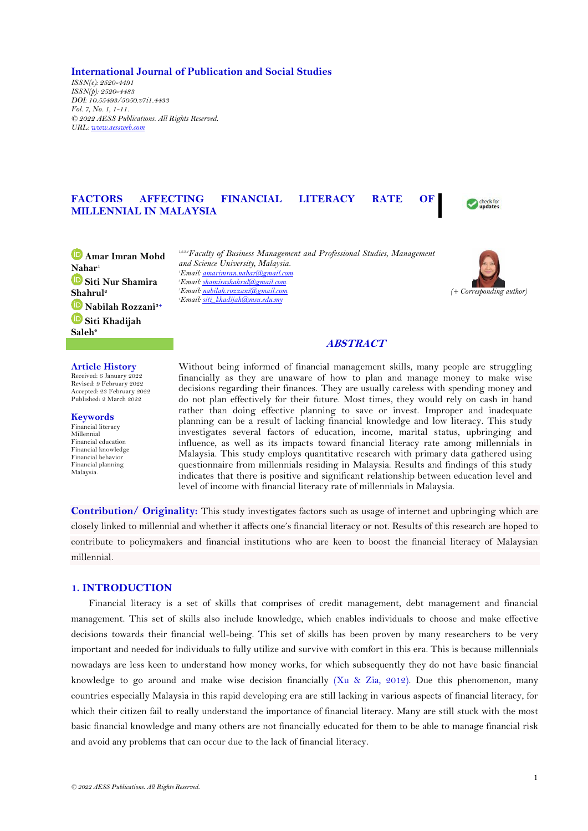**International Journal of Publication and Social Studies**

*ISSN(e): 2520-4491 ISSN(p): 2520-4483 DOI: 10.55493/5050.v7i1.4433 Vol. 7, No. 1, 1-11. © 2022 AESS Publications. All Rights Reserved. URL: [www.aessweb.com](http://www.aessweb.com/)*

# **FACTORS AFFECTING FINANCIAL LITERACY RATE OF MILLENNIAL IN MALAYSIA**



**Amar Imran Mohd Nahar<sup>1</sup> Siti Nur Shamira Shahrul<sup>2</sup> Nabilah Rozzani3+ Siti Khadijah Saleh<sup>4</sup>**

#### **Article History**

Received: 6 January 2022 Revised: 9 February 2022 Accepted: 23 February 2022 Published: 2 March 2022

**Keywords** Financial literacy Millennial Financial education Financial knowledge Financial behavior Financial planning Malaysia.

*1,2,3,4Faculty of Business Management and Professional Studies, Management and Science University, Malaysia. Email[: amarimran.nahar@gmail.com](mailto:amarimran.nahar@gmail.com) Email[: shamirashahrul@gmail.com](mailto:shamirashahrul@gmail.com) Email[: nabilah.rozzani@gmail.com](mailto:nabilah.rozzani@gmail.com) Email[: siti\\_khadijah@msu.edu.my](mailto:siti_khadijah@msu.edu.my)*



## **ABSTRACT**

Without being informed of financial management skills, many people are struggling financially as they are unaware of how to plan and manage money to make wise decisions regarding their finances. They are usually careless with spending money and do not plan effectively for their future. Most times, they would rely on cash in hand rather than doing effective planning to save or invest. Improper and inadequate planning can be a result of lacking financial knowledge and low literacy. This study investigates several factors of education, income, marital status, upbringing and influence, as well as its impacts toward financial literacy rate among millennials in Malaysia. This study employs quantitative research with primary data gathered using questionnaire from millennials residing in Malaysia. Results and findings of this study indicates that there is positive and significant relationship between education level and level of income with financial literacy rate of millennials in Malaysia.

**Contribution/ Originality:** This study investigates factors such as usage of internet and upbringing which are closely linked to millennial and whether it affects one's financial literacy or not. Results of this research are hoped to contribute to policymakers and financial institutions who are keen to boost the financial literacy of Malaysian millennial.

# **1. INTRODUCTION**

Financial literacy is a set of skills that comprises of credit management, debt management and financial management. This set of skills also include knowledge, which enables individuals to choose and make effective decisions towards their financial well-being. This set of skills has been proven by many researchers to be very important and needed for individuals to fully utilize and survive with comfort in this era. This is because millennials nowadays are less keen to understand how money works, for which subsequently they do not have basic financial knowledge to go around and make wise decision financially [\(Xu & Zia, 2012\)](#page-10-0). Due this phenomenon, many countries especially Malaysia in this rapid developing era are still lacking in various aspects of financial literacy, for which their citizen fail to really understand the importance of financial literacy. Many are still stuck with the most basic financial knowledge and many others are not financially educated for them to be able to manage financial risk and avoid any problems that can occur due to the lack of financial literacy.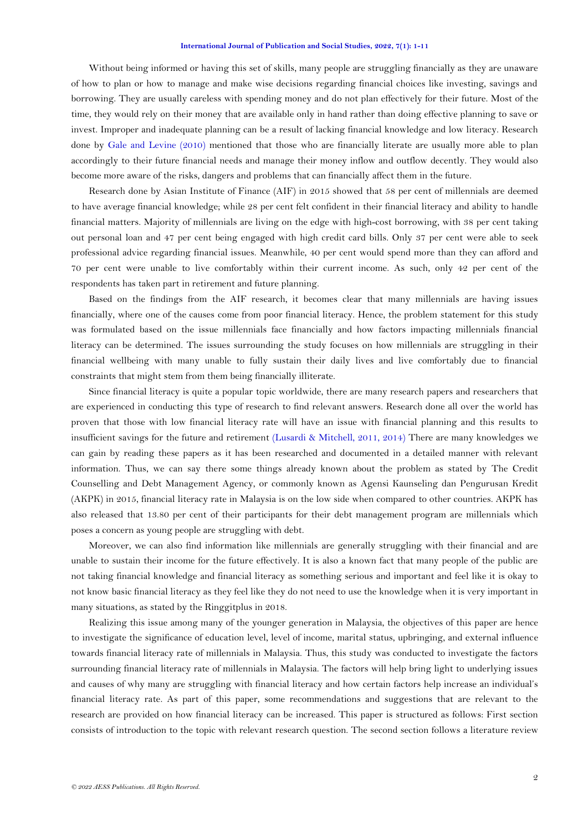Without being informed or having this set of skills, many people are struggling financially as they are unaware of how to plan or how to manage and make wise decisions regarding financial choices like investing, savings and borrowing. They are usually careless with spending money and do not plan effectively for their future. Most of the time, they would rely on their money that are available only in hand rather than doing effective planning to save or invest. Improper and inadequate planning can be a result of lacking financial knowledge and low literacy. Research done by [Gale and Levine \(2010\)](#page-9-0) mentioned that those who are financially literate are usually more able to plan accordingly to their future financial needs and manage their money inflow and outflow decently. They would also become more aware of the risks, dangers and problems that can financially affect them in the future.

Research done by Asian Institute of Finance (AIF) in 2015 showed that 58 per cent of millennials are deemed to have average financial knowledge; while 28 per cent felt confident in their financial literacy and ability to handle financial matters. Majority of millennials are living on the edge with high-cost borrowing, with 38 per cent taking out personal loan and 47 per cent being engaged with high credit card bills. Only 37 per cent were able to seek professional advice regarding financial issues. Meanwhile, 40 per cent would spend more than they can afford and 70 per cent were unable to live comfortably within their current income. As such, only 42 per cent of the respondents has taken part in retirement and future planning.

Based on the findings from the AIF research, it becomes clear that many millennials are having issues financially, where one of the causes come from poor financial literacy. Hence, the problem statement for this study was formulated based on the issue millennials face financially and how factors impacting millennials financial literacy can be determined. The issues surrounding the study focuses on how millennials are struggling in their financial wellbeing with many unable to fully sustain their daily lives and live comfortably due to financial constraints that might stem from them being financially illiterate.

Since financial literacy is quite a popular topic worldwide, there are many research papers and researchers that are experienced in conducting this type of research to find relevant answers. Research done all over the world has proven that those with low financial literacy rate will have an issue with financial planning and this results to insufficient savings for the future and retirement [\(Lusardi & Mitchell, 2011,](#page-9-1) [2014\)](#page-10-1) There are many knowledges we can gain by reading these papers as it has been researched and documented in a detailed manner with relevant information. Thus, we can say there some things already known about the problem as stated by The Credit Counselling and Debt Management Agency, or commonly known as Agensi Kaunseling dan Pengurusan Kredit (AKPK) in 2015, financial literacy rate in Malaysia is on the low side when compared to other countries. AKPK has also released that 13.80 per cent of their participants for their debt management program are millennials which poses a concern as young people are struggling with debt.

Moreover, we can also find information like millennials are generally struggling with their financial and are unable to sustain their income for the future effectively. It is also a known fact that many people of the public are not taking financial knowledge and financial literacy as something serious and important and feel like it is okay to not know basic financial literacy as they feel like they do not need to use the knowledge when it is very important in many situations, as stated by the Ringgitplus in 2018.

Realizing this issue among many of the younger generation in Malaysia, the objectives of this paper are hence to investigate the significance of education level, level of income, marital status, upbringing, and external influence towards financial literacy rate of millennials in Malaysia. Thus, this study was conducted to investigate the factors surrounding financial literacy rate of millennials in Malaysia. The factors will help bring light to underlying issues and causes of why many are struggling with financial literacy and how certain factors help increase an individual's financial literacy rate. As part of this paper, some recommendations and suggestions that are relevant to the research are provided on how financial literacy can be increased. This paper is structured as follows: First section consists of introduction to the topic with relevant research question. The second section follows a literature review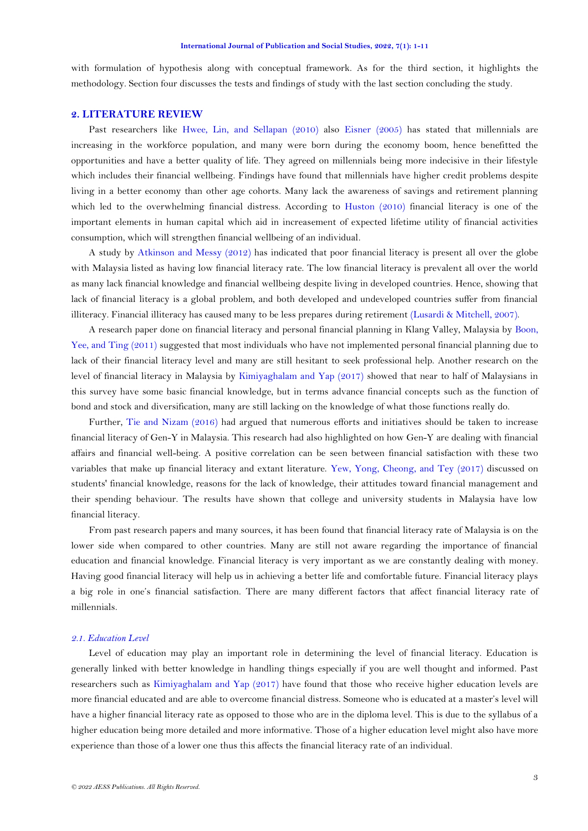with formulation of hypothesis along with conceptual framework. As for the third section, it highlights the methodology. Section four discusses the tests and findings of study with the last section concluding the study.

# **2. LITERATURE REVIEW**

Past researchers like Hwee, [Lin, and Sellapan \(2010\)](#page-9-2) also [Eisner \(2005\)](#page-9-3) has stated that millennials are increasing in the workforce population, and many were born during the economy boom, hence benefitted the opportunities and have a better quality of life. They agreed on millennials being more indecisive in their lifestyle which includes their financial wellbeing. Findings have found that millennials have higher credit problems despite living in a better economy than other age cohorts. Many lack the awareness of savings and retirement planning which led to the overwhelming financial distress. According to [Huston \(2010\)](#page-9-4) financial literacy is one of the important elements in human capital which aid in increasement of expected lifetime utility of financial activities consumption, which will strengthen financial wellbeing of an individual.

A study by [Atkinson and Messy \(2012\)](#page-9-5) has indicated that poor financial literacy is present all over the globe with Malaysia listed as having low financial literacy rate. The low financial literacy is prevalent all over the world as many lack financial knowledge and financial wellbeing despite living in developed countries. Hence, showing that lack of financial literacy is a global problem, and both developed and undeveloped countries suffer from financial illiteracy. Financial illiteracy has caused many to be less prepares during retirement [\(Lusardi & Mitchell, 2007\)](#page-9-6).

A research paper done on financial literacy and personal financial planning in Klang Valley, Malaysia by [Boon,](#page-9-7)  [Yee, and Ting \(2011\)](#page-9-7) suggested that most individuals who have not implemented personal financial planning due to lack of their financial literacy level and many are still hesitant to seek professional help. Another research on the level of financial literacy in Malaysia by [Kimiyaghalam and](#page-9-8) Yap (2017) showed that near to half of Malaysians in this survey have some basic financial knowledge, but in terms advance financial concepts such as the function of bond and stock and diversification, many are still lacking on the knowledge of what those functions really do.

Further, [Tie and Nizam \(2016\)](#page-10-2) had argued that numerous efforts and initiatives should be taken to increase financial literacy of Gen-Y in Malaysia. This research had also highlighted on how Gen-Y are dealing with financial affairs and financial well-being. A positive correlation can be seen between financial satisfaction with these two variables that make up financial literacy and extant literature. [Yew, Yong, Cheong, and Tey \(2017\)](#page-10-3) discussed on students' financial knowledge, reasons for the lack of knowledge, their attitudes toward financial management and their spending behaviour. The results have shown that college and university students in Malaysia have low financial literacy.

From past research papers and many sources, it has been found that financial literacy rate of Malaysia is on the lower side when compared to other countries. Many are still not aware regarding the importance of financial education and financial knowledge. Financial literacy is very important as we are constantly dealing with money. Having good financial literacy will help us in achieving a better life and comfortable future. Financial literacy plays a big role in one's financial satisfaction. There are many different factors that affect financial literacy rate of millennials.

### *2.1. Education Level*

Level of education may play an important role in determining the level of financial literacy. Education is generally linked with better knowledge in handling things especially if you are well thought and informed. Past researchers such as [Kimiyaghalam and Yap \(2017\)](#page-9-8) have found that those who receive higher education levels are more financial educated and are able to overcome financial distress. Someone who is educated at a master's level will have a higher financial literacy rate as opposed to those who are in the diploma level. This is due to the syllabus of a higher education being more detailed and more informative. Those of a higher education level might also have more experience than those of a lower one thus this affects the financial literacy rate of an individual.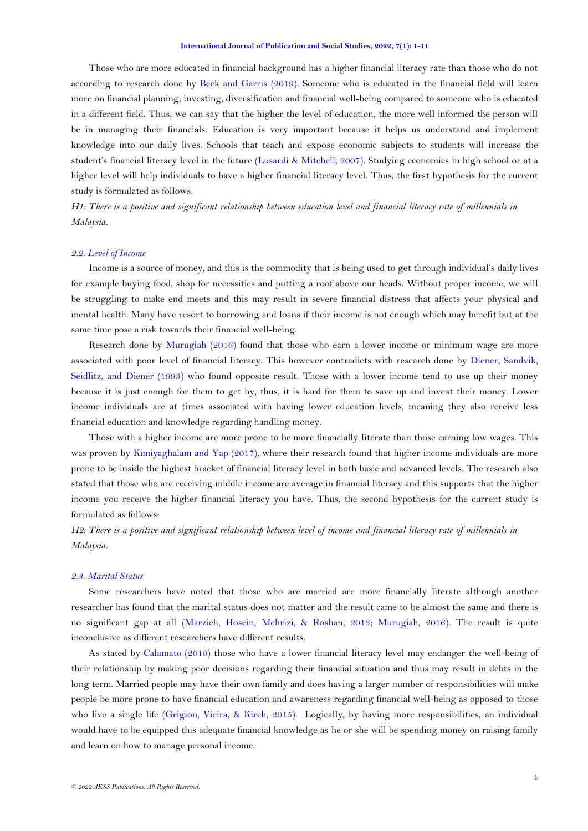Those who are more educated in financial background has a higher financial literacy rate than those who do not according to research done by [Beck and Garris \(2019\)](#page-9-9). Someone who is educated in the financial field will learn more on financial planning, investing, diversification and financial well-being compared to someone who is educated in a different field. Thus, we can say that the higher the level of education, the more well informed the person will be in managing their financials. Education is very important because it helps us understand and implement knowledge into our daily lives. Schools that teach and expose economic subjects to students will increase the student's financial literacy level in the future [\(Lusardi & Mitchell, 2007\)](#page-9-6). Studying economics in high school or at a higher level will help individuals to have a higher financial literacy level. Thus, the first hypothesis for the current study is formulated as follows:

*H1: There is a positive and significant relationship between education level and financial literacy rate of millennials in Malaysia.*

## *2.2. Level of Income*

Income is a source of money, and this is the commodity that is being used to get through individual's daily lives for example buying food, shop for necessities and putting a roof above our heads. Without proper income, we will be struggling to make end meets and this may result in severe financial distress that affects your physical and mental health. Many have resort to borrowing and loans if their income is not enough which may benefit but at the same time pose a risk towards their financial well-being.

Research done by [Murugiah \(2016\)](#page-10-4) found that those who earn a lower income or minimum wage are more associated with poor level of financial literacy. This however contradicts with research done by [Diener, Sandvik,](#page-9-10)  [Seidlitz, and Diener \(1993\)](#page-9-10) who found opposite result. Those with a lower income tend to use up their money because it is just enough for them to get by, thus, it is hard for them to save up and invest their money. Lower income individuals are at times associated with having lower education levels, meaning they also receive less financial education and knowledge regarding handling money.

Those with a higher income are more prone to be more financially literate than those earning low wages. This was proven by [Kimiyaghalam and Yap \(2017\)](#page-9-8), where their research found that higher income individuals are more prone to be inside the highest bracket of financial literacy level in both basic and advanced levels. The research also stated that those who are receiving middle income are average in financial literacy and this supports that the higher income you receive the higher financial literacy you have. Thus, the second hypothesis for the current study is formulated as follows:

*H2: There is a positive and significant relationship between level of income and financial literacy rate of millennials in Malaysia.*

#### *2.3. Marital Status*

Some researchers have noted that those who are married are more financially literate although another researcher has found that the marital status does not matter and the result came to be almost the same and there is no significant gap at all [\(Marzieh, Hosein, Mehrizi, & Roshan, 2013;](#page-10-5) [Murugiah, 2016\)](#page-10-4). The result is quite inconclusive as different researchers have different results.

As stated by [Calamato \(2010\)](#page-9-11) those who have a lower financial literacy level may endanger the well-being of their relationship by making poor decisions regarding their financial situation and thus may result in debts in the long term. Married people may have their own family and does having a larger number of responsibilities will make people be more prone to have financial education and awareness regarding financial well-being as opposed to those who live a single life [\(Grigion, Vieira, & Kirch, 2015\)](#page-9-12). Logically, by having more responsibilities, an individual would have to be equipped this adequate financial knowledge as he or she will be spending money on raising family and learn on how to manage personal income.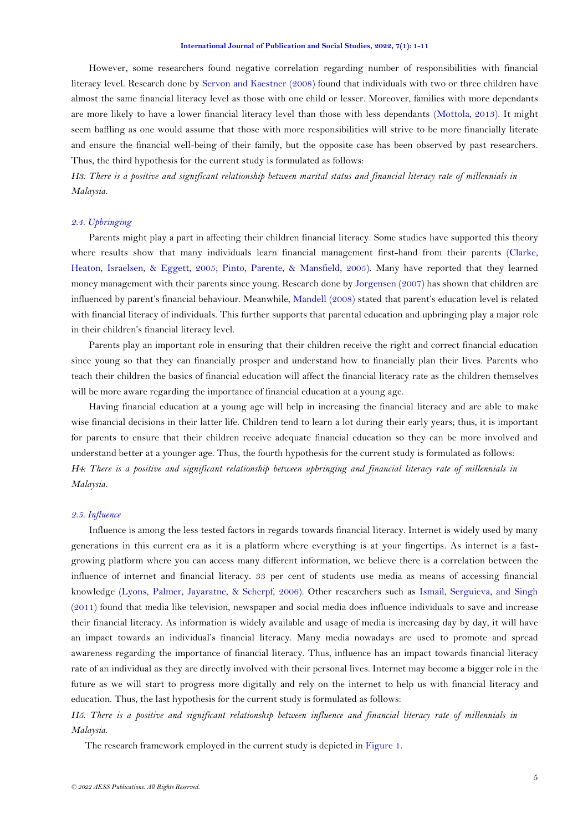However, some researchers found negative correlation regarding number of responsibilities with financial literacy level. Research done by [Servon and Kaestner \(2008\)](#page-10-6) found that individuals with two or three children have almost the same financial literacy level as those with one child or lesser. Moreover, families with more dependants are more likely to have a lower financial literacy level than those with less dependants [\(Mottola, 2013\)](#page-10-7). It might seem baffling as one would assume that those with more responsibilities will strive to be more financially literate and ensure the financial well-being of their family, but the opposite case has been observed by past researchers. Thus, the third hypothesis for the current study is formulated as follows:

*H3: There is a positive and significant relationship between marital status and financial literacy rate of millennials in Malaysia.*

### *2.4. Upbringing*

Parents might play a part in affecting their children financial literacy. Some studies have supported this theory where results show that many individuals learn financial management first-hand from their parents [\(Clarke,](#page-9-13)  [Heaton, Israelsen, & Eggett, 2005;](#page-9-13) [Pinto, Parente, & Mansfield, 2005\)](#page-10-8). Many have reported that they learned money management with their parents since young. Research done by [Jorgensen \(2007\)](#page-9-14) has shown that children are influenced by parent's financial behaviour. Meanwhile, [Mandell \(2008\)](#page-10-9) stated that parent's education level is related with financial literacy of individuals. This further supports that parental education and upbringing play a major role in their children's financial literacy level.

Parents play an important role in ensuring that their children receive the right and correct financial education since young so that they can financially prosper and understand how to financially plan their lives. Parents who teach their children the basics of financial education will affect the financial literacy rate as the children themselves will be more aware regarding the importance of financial education at a young age.

Having financial education at a young age will help in increasing the financial literacy and are able to make wise financial decisions in their latter life. Children tend to learn a lot during their early years; thus, it is important for parents to ensure that their children receive adequate financial education so they can be more involved and understand better at a younger age. Thus, the fourth hypothesis for the current study is formulated as follows: *H4: There is a positive and significant relationship between upbringing and financial literacy rate of millennials in Malaysia.*

### *2.5. Influence*

Influence is among the less tested factors in regards towards financial literacy. Internet is widely used by many generations in this current era as it is a platform where everything is at your fingertips. As internet is a fastgrowing platform where you can access many different information, we believe there is a correlation between the influence of internet and financial literacy. 33 per cent of students use media as means of accessing financial knowledge [\(Lyons, Palmer, Jayaratne, & Scherpf, 2006\)](#page-10-10). Other researchers such as [Ismail, Serguieva, and Singh](#page-9-15)  [\(2011\)](#page-9-15) found that media like television, newspaper and social media does influence individuals to save and increase their financial literacy. As information is widely available and usage of media is increasing day by day, it will have an impact towards an individual's financial literacy. Many media nowadays are used to promote and spread awareness regarding the importance of financial literacy. Thus, influence has an impact towards financial literacy rate of an individual as they are directly involved with their personal lives. Internet may become a bigger role in the future as we will start to progress more digitally and rely on the internet to help us with financial literacy and education. Thus, the last hypothesis for the current study is formulated as follows:

*H5: There is a positive and significant relationship between influence and financial literacy rate of millennials in Malaysia*.

The research framework employed in the current study is depicted in [Figure 1.](#page-5-0)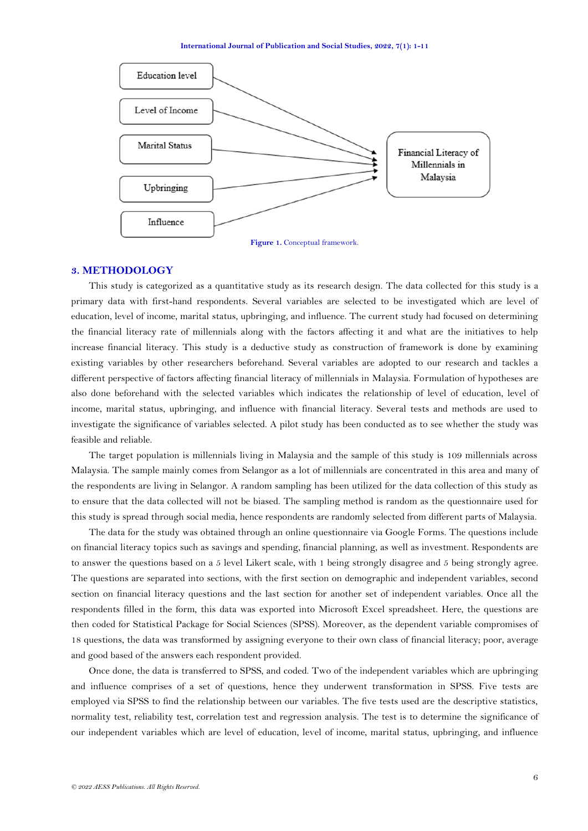

#### <span id="page-5-0"></span>**3. METHODOLOGY**

This study is categorized as a quantitative study as its research design. The data collected for this study is a primary data with first-hand respondents. Several variables are selected to be investigated which are level of education, level of income, marital status, upbringing, and influence. The current study had focused on determining the financial literacy rate of millennials along with the factors affecting it and what are the initiatives to help increase financial literacy. This study is a deductive study as construction of framework is done by examining existing variables by other researchers beforehand. Several variables are adopted to our research and tackles a different perspective of factors affecting financial literacy of millennials in Malaysia. Formulation of hypotheses are also done beforehand with the selected variables which indicates the relationship of level of education, level of income, marital status, upbringing, and influence with financial literacy. Several tests and methods are used to investigate the significance of variables selected. A pilot study has been conducted as to see whether the study was feasible and reliable.

The target population is millennials living in Malaysia and the sample of this study is 109 millennials across Malaysia. The sample mainly comes from Selangor as a lot of millennials are concentrated in this area and many of the respondents are living in Selangor. A random sampling has been utilized for the data collection of this study as to ensure that the data collected will not be biased. The sampling method is random as the questionnaire used for this study is spread through social media, hence respondents are randomly selected from different parts of Malaysia.

The data for the study was obtained through an online questionnaire via Google Forms. The questions include on financial literacy topics such as savings and spending, financial planning, as well as investment. Respondents are to answer the questions based on a 5 level Likert scale, with 1 being strongly disagree and 5 being strongly agree. The questions are separated into sections, with the first section on demographic and independent variables, second section on financial literacy questions and the last section for another set of independent variables. Once all the respondents filled in the form, this data was exported into Microsoft Excel spreadsheet. Here, the questions are then coded for Statistical Package for Social Sciences (SPSS). Moreover, as the dependent variable compromises of 18 questions, the data was transformed by assigning everyone to their own class of financial literacy; poor, average and good based of the answers each respondent provided.

Once done, the data is transferred to SPSS, and coded. Two of the independent variables which are upbringing and influence comprises of a set of questions, hence they underwent transformation in SPSS. Five tests are employed via SPSS to find the relationship between our variables. The five tests used are the descriptive statistics, normality test, reliability test, correlation test and regression analysis. The test is to determine the significance of our independent variables which are level of education, level of income, marital status, upbringing, and influence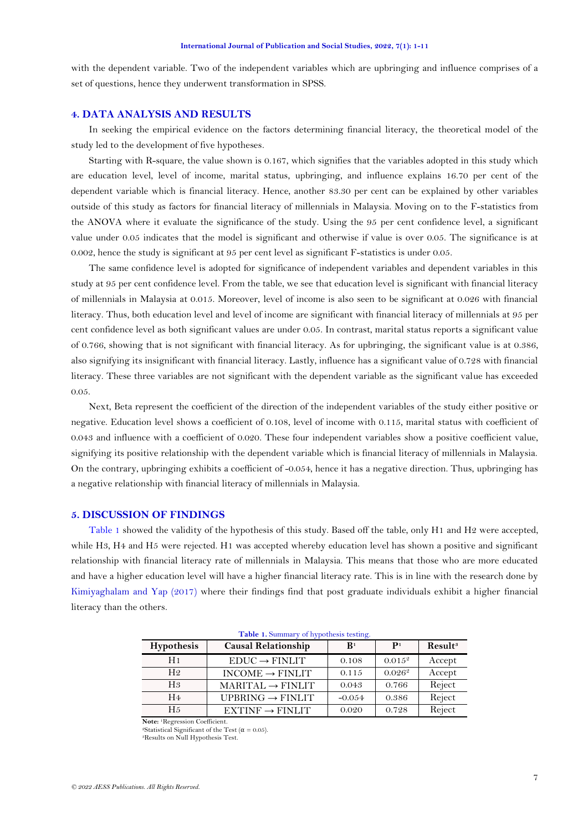with the dependent variable. Two of the independent variables which are upbringing and influence comprises of a set of questions, hence they underwent transformation in SPSS.

## **4. DATA ANALYSIS AND RESULTS**

In seeking the empirical evidence on the factors determining financial literacy, the theoretical model of the study led to the development of five hypotheses.

Starting with R-square, the value shown is 0.167, which signifies that the variables adopted in this study which are education level, level of income, marital status, upbringing, and influence explains 16.70 per cent of the dependent variable which is financial literacy. Hence, another 83.30 per cent can be explained by other variables outside of this study as factors for financial literacy of millennials in Malaysia. Moving on to the F-statistics from the ANOVA where it evaluate the significance of the study. Using the 95 per cent confidence level, a significant value under 0.05 indicates that the model is significant and otherwise if value is over 0.05. The significance is at 0.002, hence the study is significant at 95 per cent level as significant F-statistics is under 0.05.

The same confidence level is adopted for significance of independent variables and dependent variables in this study at 95 per cent confidence level. From the table, we see that education level is significant with financial literacy of millennials in Malaysia at 0.015. Moreover, level of income is also seen to be significant at 0.026 with financial literacy. Thus, both education level and level of income are significant with financial literacy of millennials at 95 per cent confidence level as both significant values are under 0.05. In contrast, marital status reports a significant value of 0.766, showing that is not significant with financial literacy. As for upbringing, the significant value is at 0.386, also signifying its insignificant with financial literacy. Lastly, influence has a significant value of 0.728 with financial literacy. These three variables are not significant with the dependent variable as the significant value has exceeded 0.05.

Next, Beta represent the coefficient of the direction of the independent variables of the study either positive or negative. Education level shows a coefficient of 0.108, level of income with 0.115, marital status with coefficient of 0.043 and influence with a coefficient of 0.020. These four independent variables show a positive coefficient value, signifying its positive relationship with the dependent variable which is financial literacy of millennials in Malaysia. On the contrary, upbringing exhibits a coefficient of -0.054, hence it has a negative direction. Thus, upbringing has a negative relationship with financial literacy of millennials in Malaysia.

### **5. DISCUSSION OF FINDINGS**

[Table 1](#page-6-0) showed the validity of the hypothesis of this study. Based off the table, only H1 and H2 were accepted, while H3, H4 and H5 were rejected. H1 was accepted whereby education level has shown a positive and significant relationship with financial literacy rate of millennials in Malaysia. This means that those who are more educated and have a higher education level will have a higher financial literacy rate. This is in line with the research done by [Kimiyaghalam and Yap \(2017\)](#page-9-8) where their findings find that post graduate individuals exhibit a higher financial literacy than the others.

<span id="page-6-0"></span>

| Hypothesis     | <b>Causal Relationship</b>   | $\mathbf{B}^1$ | $\mathbf{P}^1$ | Result <sup>3</sup> |
|----------------|------------------------------|----------------|----------------|---------------------|
| H <sub>1</sub> | $EDUC \rightarrow FINLIT$    | 0.108          | $0.015^{2}$    | Accept              |
| H <sub>2</sub> | $INCOME \rightarrow FINLIT$  | 0.115          | $0.026^2$      | Accept              |
| $H_3$          | $MARITAL \rightarrow FINLIT$ | 0.043          | 0.766          | Reject              |
| H <sub>4</sub> | UPBRING $\rightarrow$ FINLIT | $-0.054$       | 0.386          | Reject              |
| H <sub>5</sub> | $EXTINF \rightarrow FINLIT$  | 0.020          | 0.728          | Reject              |

**Table 1.** Summary of hypothesis testing.

**Note:** 1Regression Coefficient.

<sup>2</sup>Statistical Significant of the Test ( $\alpha$  = 0.05). 3Results on Null Hypothesis Test.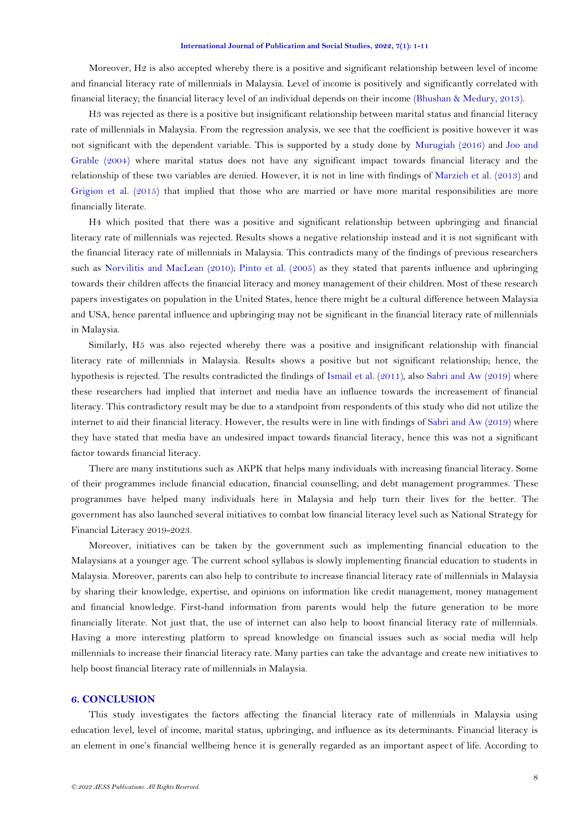Moreover, H2 is also accepted whereby there is a positive and significant relationship between level of income and financial literacy rate of millennials in Malaysia. Level of income is positively and significantly correlated with financial literacy; the financial literacy level of an individual depends on their income [\(Bhushan & Medury, 2013\)](#page-9-16).

H3 was rejected as there is a positive but insignificant relationship between marital status and financial literacy rate of millennials in Malaysia. From the regression analysis, we see that the coefficient is positive however it was not significant with the dependent variable. This is supported by a study done by [Murugiah \(2016\)](#page-10-4) and [Joo and](#page-9-17)  [Grable \(2004\)](#page-9-17) where marital status does not have any significant impact towards financial literacy and the relationship of these two variables are denied. However, it is not in line with findings of [Marzieh et al.](#page-10-5) (2013) and [Grigion et al. \(2015\)](#page-9-12) that implied that those who are married or have more marital responsibilities are more financially literate.

H4 which posited that there was a positive and significant relationship between upbringing and financial literacy rate of millennials was rejected. Results shows a negative relationship instead and it is not significant with the financial literacy rate of millennials in Malaysia. This contradicts many of the findings of previous researchers such as [Norvilitis and MacLean \(2010\)](#page-10-11); [Pinto et al. \(2005\)](#page-10-8) as they stated that parents influence and upbringing towards their children affects the financial literacy and money management of their children. Most of these research papers investigates on population in the United States, hence there might be a cultural difference between Malaysia and USA, hence parental influence and upbringing may not be significant in the financial literacy rate of millennials in Malaysia.

Similarly, H5 was also rejected whereby there was a positive and insignificant relationship with financial literacy rate of millennials in Malaysia. Results shows a positive but not significant relationship; hence, the hypothesis is rejected. The results contradicted the findings of [Ismail et al. \(2011\)](#page-9-15), also [Sabri and Aw \(2019\)](#page-10-12) where these researchers had implied that internet and media have an influence towards the increasement of financial literacy. This contradictory result may be due to a standpoint from respondents of this study who did not utilize the internet to aid their financial literacy. However, the results were in line with findings of [Sabri and Aw \(2019\)](#page-10-12) where they have stated that media have an undesired impact towards financial literacy, hence this was not a significant factor towards financial literacy.

There are many institutions such as AKPK that helps many individuals with increasing financial literacy. Some of their programmes include financial education, financial counselling, and debt management programmes. These programmes have helped many individuals here in Malaysia and help turn their lives for the better. The government has also launched several initiatives to combat low financial literacy level such as National Strategy for Financial Literacy 2019-2023.

Moreover, initiatives can be taken by the government such as implementing financial education to the Malaysians at a younger age. The current school syllabus is slowly implementing financial education to students in Malaysia. Moreover, parents can also help to contribute to increase financial literacy rate of millennials in Malaysia by sharing their knowledge, expertise, and opinions on information like credit management, money management and financial knowledge. First-hand information from parents would help the future generation to be more financially literate. Not just that, the use of internet can also help to boost financial literacy rate of millennials. Having a more interesting platform to spread knowledge on financial issues such as social media will help millennials to increase their financial literacy rate. Many parties can take the advantage and create new initiatives to help boost financial literacy rate of millennials in Malaysia.

# **6. CONCLUSION**

This study investigates the factors affecting the financial literacy rate of millennials in Malaysia using education level, level of income, marital status, upbringing, and influence as its determinants. Financial literacy is an element in one's financial wellbeing hence it is generally regarded as an important aspect of life. According to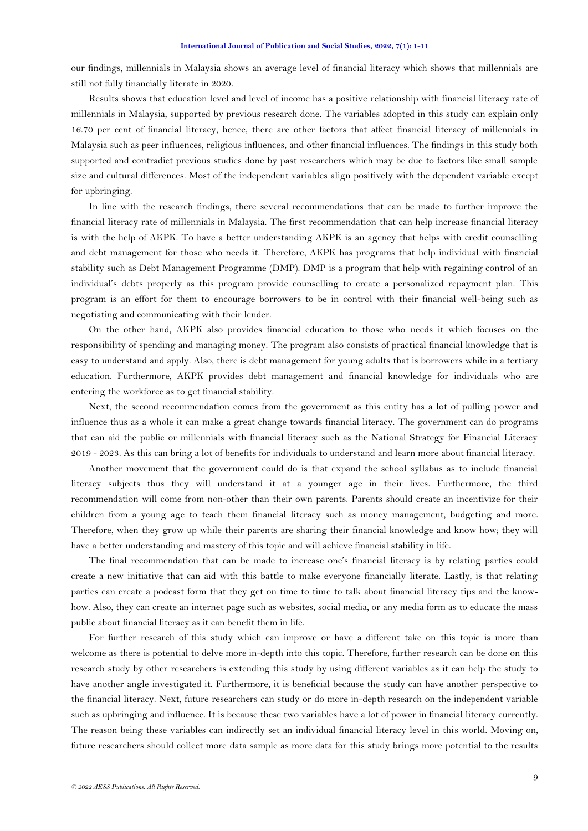our findings, millennials in Malaysia shows an average level of financial literacy which shows that millennials are still not fully financially literate in 2020.

Results shows that education level and level of income has a positive relationship with financial literacy rate of millennials in Malaysia, supported by previous research done. The variables adopted in this study can explain only 16.70 per cent of financial literacy, hence, there are other factors that affect financial literacy of millennials in Malaysia such as peer influences, religious influences, and other financial influences. The findings in this study both supported and contradict previous studies done by past researchers which may be due to factors like small sample size and cultural differences. Most of the independent variables align positively with the dependent variable except for upbringing.

In line with the research findings, there several recommendations that can be made to further improve the financial literacy rate of millennials in Malaysia. The first recommendation that can help increase financial literacy is with the help of AKPK. To have a better understanding AKPK is an agency that helps with credit counselling and debt management for those who needs it. Therefore, AKPK has programs that help individual with financial stability such as Debt Management Programme (DMP). DMP is a program that help with regaining control of an individual's debts properly as this program provide counselling to create a personalized repayment plan. This program is an effort for them to encourage borrowers to be in control with their financial well-being such as negotiating and communicating with their lender.

On the other hand, AKPK also provides financial education to those who needs it which focuses on the responsibility of spending and managing money. The program also consists of practical financial knowledge that is easy to understand and apply. Also, there is debt management for young adults that is borrowers while in a tertiary education. Furthermore, AKPK provides debt management and financial knowledge for individuals who are entering the workforce as to get financial stability.

Next, the second recommendation comes from the government as this entity has a lot of pulling power and influence thus as a whole it can make a great change towards financial literacy. The government can do programs that can aid the public or millennials with financial literacy such as the National Strategy for Financial Literacy 2019 - 2023. As this can bring a lot of benefits for individuals to understand and learn more about financial literacy.

Another movement that the government could do is that expand the school syllabus as to include financial literacy subjects thus they will understand it at a younger age in their lives. Furthermore, the third recommendation will come from non-other than their own parents. Parents should create an incentivize for their children from a young age to teach them financial literacy such as money management, budgeting and more. Therefore, when they grow up while their parents are sharing their financial knowledge and know how; they will have a better understanding and mastery of this topic and will achieve financial stability in life.

The final recommendation that can be made to increase one's financial literacy is by relating parties could create a new initiative that can aid with this battle to make everyone financially literate. Lastly, is that relating parties can create a podcast form that they get on time to time to talk about financial literacy tips and the knowhow. Also, they can create an internet page such as websites, social media, or any media form as to educate the mass public about financial literacy as it can benefit them in life.

For further research of this study which can improve or have a different take on this topic is more than welcome as there is potential to delve more in-depth into this topic. Therefore, further research can be done on this research study by other researchers is extending this study by using different variables as it can help the study to have another angle investigated it. Furthermore, it is beneficial because the study can have another perspective to the financial literacy. Next, future researchers can study or do more in-depth research on the independent variable such as upbringing and influence. It is because these two variables have a lot of power in financial literacy currently. The reason being these variables can indirectly set an individual financial literacy level in this world. Moving on, future researchers should collect more data sample as more data for this study brings more potential to the results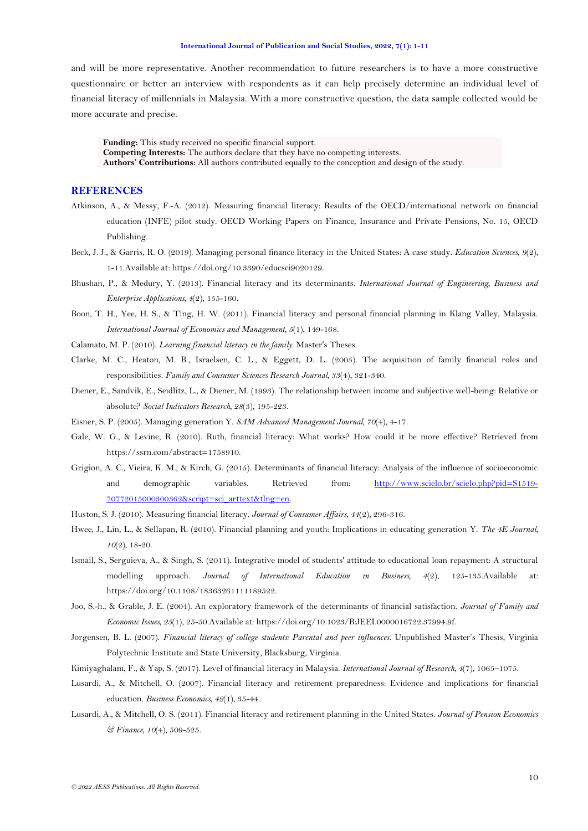and will be more representative. Another recommendation to future researchers is to have a more constructive questionnaire or better an interview with respondents as it can help precisely determine an individual level of financial literacy of millennials in Malaysia. With a more constructive question, the data sample collected would be more accurate and precise.

**Funding:** This study received no specific financial support.

**Competing Interests:** The authors declare that they have no competing interests.

**Authors' Contributions:** All authors contributed equally to the conception and design of the study.

## **REFERENCES**

- <span id="page-9-5"></span>Atkinson, A., & Messy, F.-A. (2012). Measuring financial literacy: Results of the OECD/international network on financial education (INFE) pilot study. OECD Working Papers on Finance, Insurance and Private Pensions, No. 15, OECD Publishing.
- <span id="page-9-9"></span>Beck, J. J., & Garris, R. O. (2019). Managing personal finance literacy in the United States: A case study. *Education Sciences, 9*(2), 1-11.Available at: https://doi.org/10.3390/educsci9020129.
- <span id="page-9-16"></span>Bhushan, P., & Medury, Y. (2013). Financial literacy and its determinants. *International Journal of Engineering, Business and Enterprise Applications, 4*(2), 155-160.
- <span id="page-9-7"></span>Boon, T. H., Yee, H. S., & Ting, H. W. (2011). Financial literacy and personal financial planning in Klang Valley, Malaysia. *International Journal of Economics and Management, 5*(1), 149-168.
- <span id="page-9-11"></span>Calamato, M. P. (2010). *Learning financial literacy in the family.* Master's Theses.
- <span id="page-9-13"></span>Clarke, M. C., Heaton, M. B., Israelsen, C. L., & Eggett, D. L. (2005). The acquisition of family financial roles and responsibilities. *Family and Consumer Sciences Research Journal, 33*(4), 321-340.
- <span id="page-9-10"></span>Diener, E., Sandvik, E., Seidlitz, L., & Diener, M. (1993). The relationship between income and subjective well-being: Relative or absolute? *Social Indicators Research, 28*(3), 195-223.
- <span id="page-9-3"></span>Eisner, S. P. (2005). Managing generation Y. *SAM Advanced Management Journal, 70*(4), 4-17.
- <span id="page-9-0"></span>Gale, W. G., & Levine, R. (2010). Ruth, financial literacy: What works? How could it be more effective? Retrieved from https://ssrn.com/abstract=1758910.
- <span id="page-9-12"></span>Grigion, A. C., Vieira, K. M., & Kirch, G. (2015). Determinants of financial literacy: Analysis of the influence of socioeconomic and demographic variables. Retrieved from: [http://www.scielo.br/scielo.php?pid=S1519-](http://www.scielo.br/scielo.php?pid=S1519-70772015000300362&script=sci_arttext&tlng=en) [70772015000300362&script=sci\\_arttext&tlng=en.](http://www.scielo.br/scielo.php?pid=S1519-70772015000300362&script=sci_arttext&tlng=en)
- <span id="page-9-4"></span>Huston, S. J. (2010). Measuring financial literacy. *Journal of Consumer Affairs, 44*(2), 296-316.
- <span id="page-9-2"></span>Hwee, J., Lin, L., & Sellapan, R. (2010). Financial planning and youth: Implications in educating generation Y. *The 4E Journal, 10*(2), 18-20.
- <span id="page-9-15"></span>Ismail, S., Serguieva, A., & Singh, S. (2011). Integrative model of students' attitude to educational loan repayment: A structural modelling approach. *Journal of International Education in Business, 4*(2), 125-135.Available at: https://doi.org/10.1108/18363261111189522.
- <span id="page-9-17"></span>Joo, S.-h., & Grable, J. E. (2004). An exploratory framework of the determinants of financial satisfaction. *Journal of Family and Economic Issues, 25*(1), 25-50.Available at: https://doi.org/10.1023/B:JEEI.0000016722.37994.9f.
- <span id="page-9-14"></span>Jorgensen, B. L. (2007). *Financial literacy of college students: Parental and peer influences.* Unpublished Master's Thesis, Virginia Polytechnic Institute and State University, Blacksburg, Virginia.
- <span id="page-9-8"></span>Kimiyaghalam, F., & Yap, S. (2017). Level of financial literacy in Malaysia. *International Journal of Research, 4*(7), 1065–1075.
- <span id="page-9-6"></span>Lusardi, A., & Mitchell, O. (2007). Financial literacy and retirement preparedness: Evidence and implications for financial education. *Business Economics, 42*(1), 35-44.
- <span id="page-9-1"></span>Lusardi, A., & Mitchell, O. S. (2011). Financial literacy and retirement planning in the United States. *Journal of Pension Economics & Finance, 10*(4), 509-525.